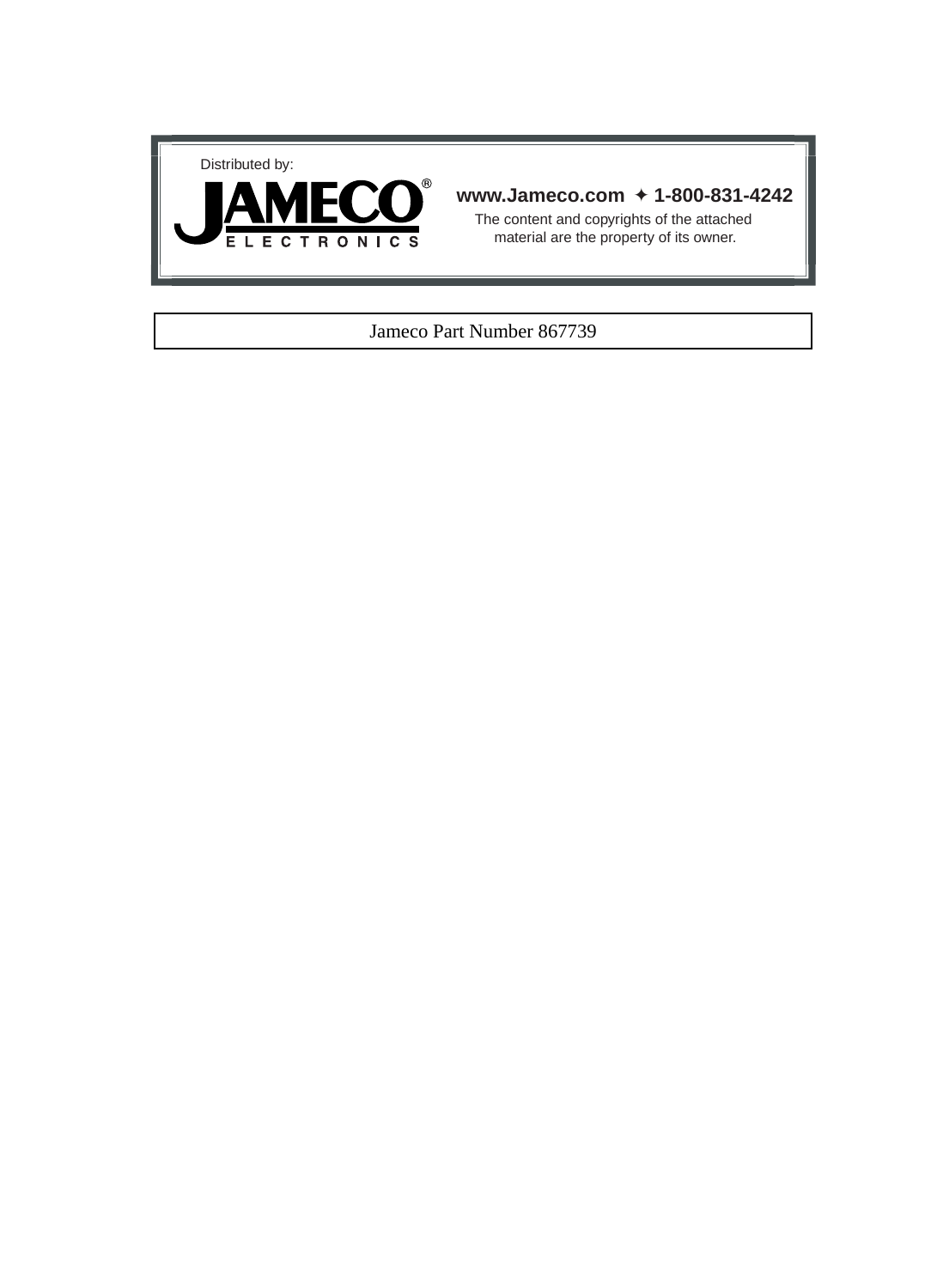



#### **www.Jameco.com** ✦ **1-800-831-4242**

The content and copyrights of the attached material are the property of its owner.

#### Jameco Part Number 867739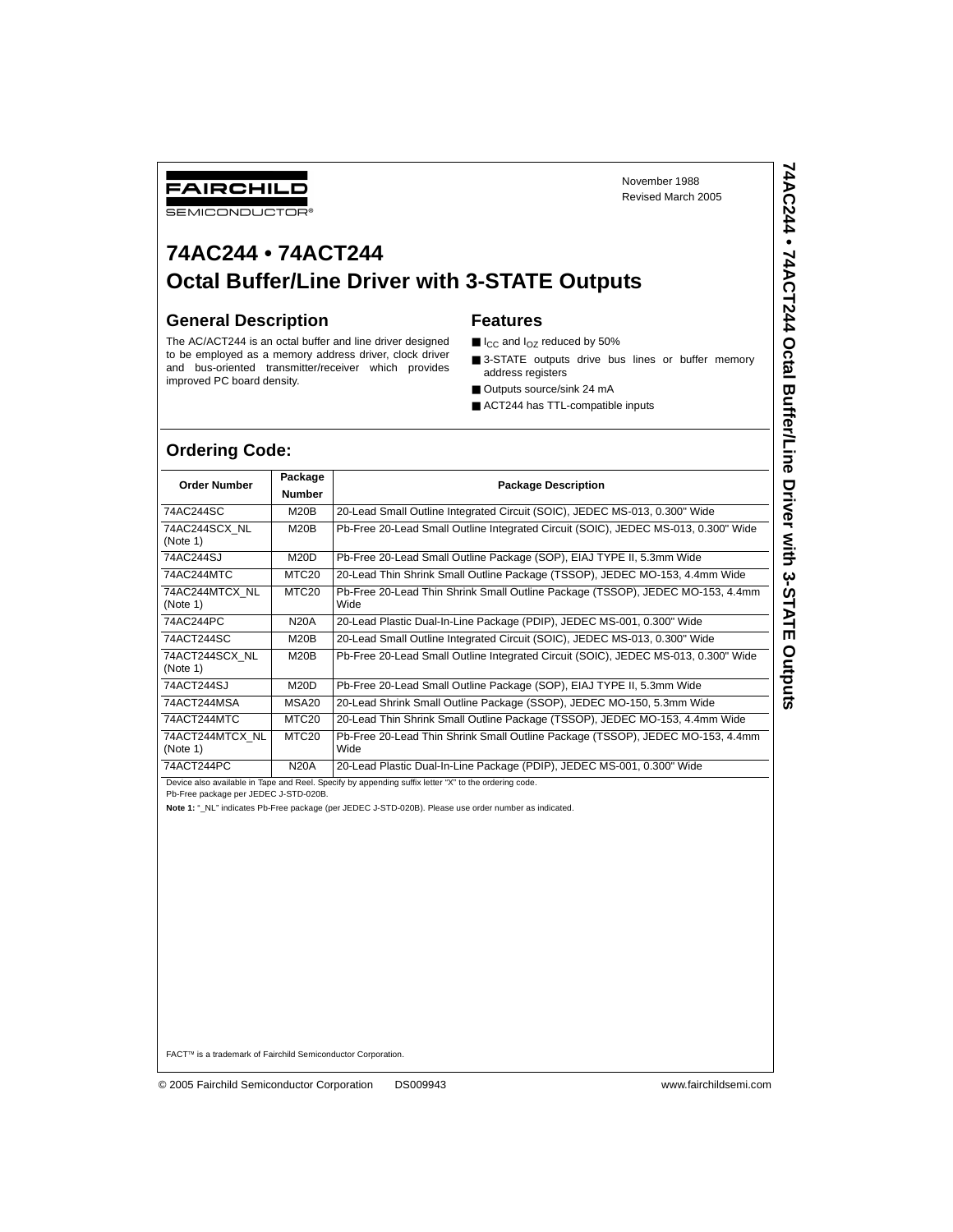# **74AC244 • 74ACT244 Octal Buffer/Line Driver with 3-STATE Outputs**

#### **General Description**

#### **Features**

- $\blacksquare$  I<sub>CC</sub> and I<sub>OZ</sub> reduced by 50%
- 3-STATE outputs drive bus lines or buffer memory address registers
- Outputs source/sink 24 mA
- ACT244 has TTL-compatible inputs

#### **Ordering Code:**

| FAIRCHILD<br><b>SEMICONDUCTOR®</b> |                   |                                                                                                                 | November 1988<br>Revised March 2005                                                | 74AC244 •          |  |  |  |  |  |  |
|------------------------------------|-------------------|-----------------------------------------------------------------------------------------------------------------|------------------------------------------------------------------------------------|--------------------|--|--|--|--|--|--|
| 74AC244 • 74ACT244                 |                   |                                                                                                                 | <b>Octal Buffer/Line Driver with 3-STATE Outputs</b>                               | 74ACT244           |  |  |  |  |  |  |
| <b>General Description</b>         |                   |                                                                                                                 | <b>Features</b>                                                                    |                    |  |  |  |  |  |  |
|                                    |                   | The AC/ACT244 is an octal buffer and line driver designed                                                       | $\blacksquare$ I <sub>CC</sub> and I <sub>OZ</sub> reduced by 50%                  |                    |  |  |  |  |  |  |
|                                    |                   | to be employed as a memory address driver, clock driver<br>and bus-oriented transmitter/receiver which provides | 3-STATE outputs drive bus lines or buffer memory<br>address registers              | Octal              |  |  |  |  |  |  |
| improved PC board density.         |                   |                                                                                                                 | Outputs source/sink 24 mA                                                          |                    |  |  |  |  |  |  |
|                                    |                   |                                                                                                                 | ACT244 has TTL-compatible inputs                                                   |                    |  |  |  |  |  |  |
| <b>Ordering Code:</b>              | Package           |                                                                                                                 |                                                                                    | <b>Buffer/Line</b> |  |  |  |  |  |  |
| <b>Order Number</b>                | <b>Number</b>     |                                                                                                                 | <b>Package Description</b>                                                         |                    |  |  |  |  |  |  |
| 74AC244SC                          | M20B              |                                                                                                                 | 20-Lead Small Outline Integrated Circuit (SOIC), JEDEC MS-013, 0.300" Wide         |                    |  |  |  |  |  |  |
| 74AC244SCX NL<br>(Note 1)          | M20B              |                                                                                                                 | Pb-Free 20-Lead Small Outline Integrated Circuit (SOIC), JEDEC MS-013, 0.300" Wide | Driver with        |  |  |  |  |  |  |
| 74AC244SJ                          | <b>M20D</b>       |                                                                                                                 | Pb-Free 20-Lead Small Outline Package (SOP), EIAJ TYPE II, 5.3mm Wide              |                    |  |  |  |  |  |  |
| 74AC244MTC                         | MTC <sub>20</sub> |                                                                                                                 | 20-Lead Thin Shrink Small Outline Package (TSSOP), JEDEC MO-153, 4.4mm Wide        | <b>3-STATE</b>     |  |  |  |  |  |  |
| 74AC244MTCX NL<br>(Note 1)         | MTC <sub>20</sub> | Pb-Free 20-Lead Thin Shrink Small Outline Package (TSSOP), JEDEC MO-153, 4.4mm<br>Wide                          |                                                                                    |                    |  |  |  |  |  |  |
| 74AC244PC                          | <b>N20A</b>       |                                                                                                                 | 20-Lead Plastic Dual-In-Line Package (PDIP), JEDEC MS-001, 0.300" Wide             |                    |  |  |  |  |  |  |
| 74ACT244SC                         | M20B              |                                                                                                                 | 20-Lead Small Outline Integrated Circuit (SOIC), JEDEC MS-013, 0.300" Wide         |                    |  |  |  |  |  |  |
| 74ACT244SCX NL<br>(Note 1)         | M20B              |                                                                                                                 | Pb-Free 20-Lead Small Outline Integrated Circuit (SOIC), JEDEC MS-013, 0.300" Wide | Outputs            |  |  |  |  |  |  |
| 74ACT244SJ                         | <b>M20D</b>       |                                                                                                                 | Pb-Free 20-Lead Small Outline Package (SOP), EIAJ TYPE II, 5.3mm Wide              |                    |  |  |  |  |  |  |
| 74ACT244MSA                        | <b>MSA20</b>      |                                                                                                                 | 20-Lead Shrink Small Outline Package (SSOP), JEDEC MO-150, 5.3mm Wide              |                    |  |  |  |  |  |  |
| 74ACT244MTC                        | MTC <sub>20</sub> |                                                                                                                 | 20-Lead Thin Shrink Small Outline Package (TSSOP), JEDEC MO-153, 4.4mm Wide        |                    |  |  |  |  |  |  |
| 74ACT244MTCX NL<br>(Note 1)        | MTC <sub>20</sub> | Wide                                                                                                            | Pb-Free 20-Lead Thin Shrink Small Outline Package (TSSOP), JEDEC MO-153, 4.4mm     |                    |  |  |  |  |  |  |
| 74ACT244PC                         | <b>N20A</b>       | 20-Lead Plastic Dual-In-Line Package (PDIP), JEDEC MS-001, 0.300" Wide                                          |                                                                                    |                    |  |  |  |  |  |  |

Device also available in Tape and Reel. Specify by appending suffix letter "X" to the ordering code.

Pb-Free package per JEDEC J-STD-020B.

**Note 1:** "\_NL" indicates Pb-Free package (per JEDEC J-STD-020B). Please use order number as indicated.

FACT™ is a trademark of Fairchild Semiconductor Corporation.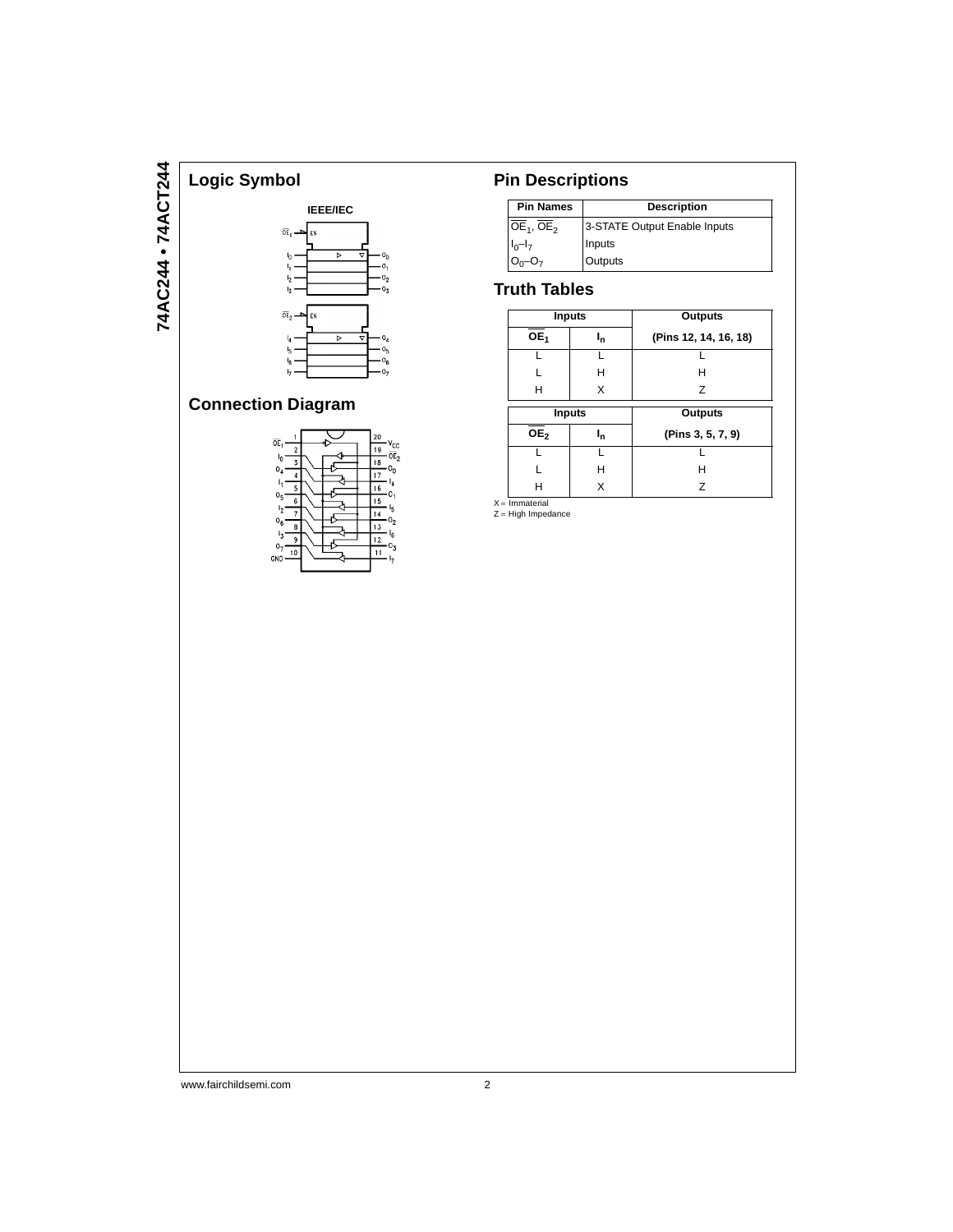

# **Connection Diagram**



# **Pin Descriptions**

| <b>Pin Names</b><br><b>Description</b> |                              |  |  |  |  |  |
|----------------------------------------|------------------------------|--|--|--|--|--|
| $OE1$ , $OE2$                          | 3-STATE Output Enable Inputs |  |  |  |  |  |
| $I_0-I_7$                              | Inputs                       |  |  |  |  |  |
|                                        | Outputs                      |  |  |  |  |  |

## **Truth Tables**

|                   | <b>Inputs</b> | Outputs               |  |  |  |  |  |
|-------------------|---------------|-----------------------|--|--|--|--|--|
| OE <sub>1</sub>   | ı,            | (Pins 12, 14, 16, 18) |  |  |  |  |  |
|                   |               |                       |  |  |  |  |  |
|                   | н             | н                     |  |  |  |  |  |
| н                 | X             | Z                     |  |  |  |  |  |
| <b>Inputs</b>     |               |                       |  |  |  |  |  |
|                   |               | Outputs               |  |  |  |  |  |
| $\overline{OE}_2$ | եր            | (Pins 3, 5, 7, 9)     |  |  |  |  |  |
|                   |               |                       |  |  |  |  |  |
|                   | н             | н                     |  |  |  |  |  |

X = Immaterial<br>Z = High Impedance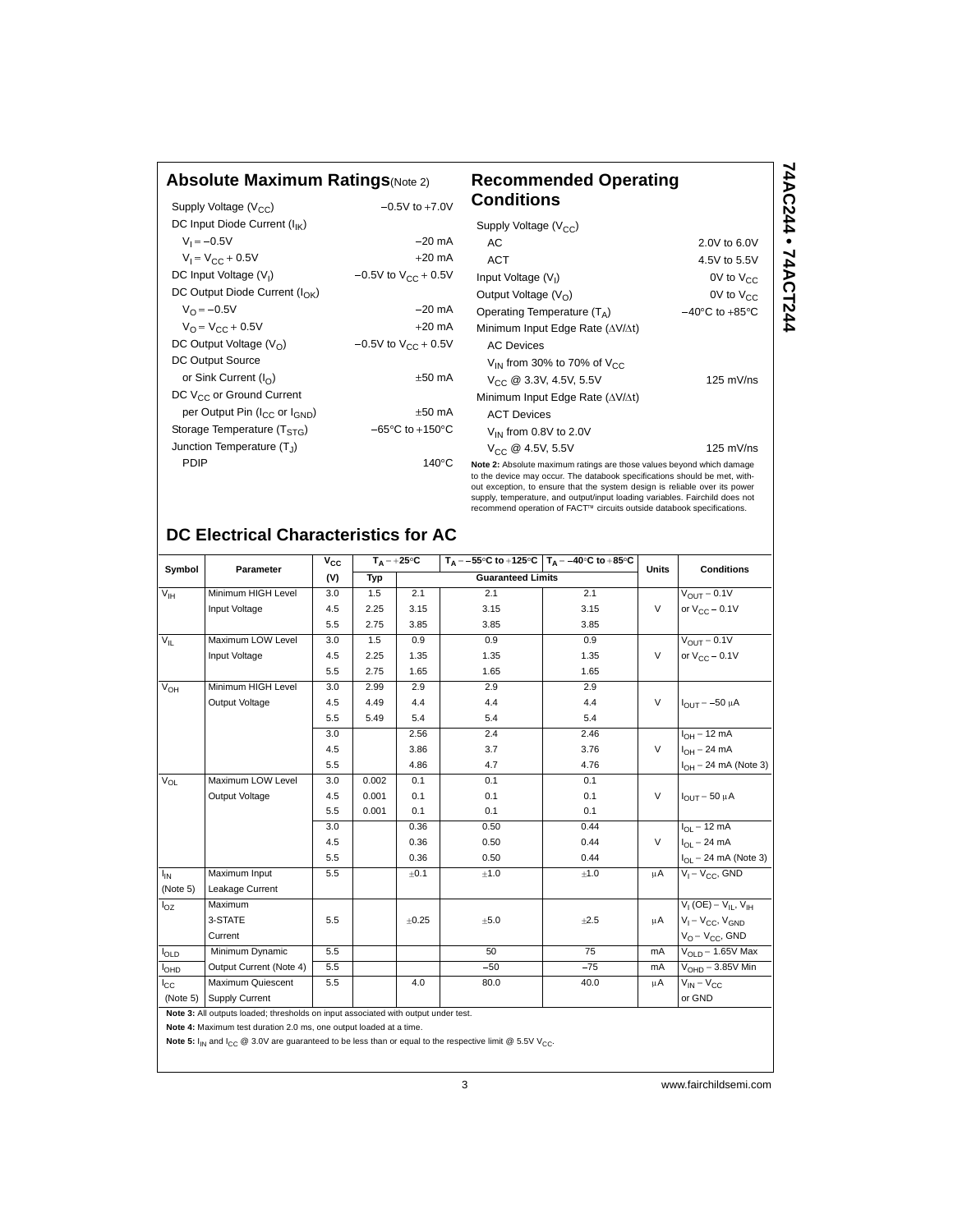#### **Absolute Maximum Ratings**(Note 2) **Recommended Operating**

| Supply Voltage $(V_{CC})$                             | $-0.5V$ to $+7.0V$                  |
|-------------------------------------------------------|-------------------------------------|
| DC Input Diode Current (I <sub>IK</sub> )             |                                     |
| $V_1 = -0.5V$                                         | $-20$ mA                            |
| $V_1 = V_{CC} + 0.5V$                                 | $+20 \text{ mA}$                    |
| DC Input Voltage (V <sub>I</sub> )                    | $-0.5V$ to $V_{CC}$ + 0.5V          |
| DC Output Diode Current (I <sub>OK</sub> )            |                                     |
| $V_{\Omega} = -0.5V$                                  | $-20$ mA                            |
| $V_{\Omega} = V_{\Gamma} + 0.5V$                      | $+20$ mA                            |
| DC Output Voltage $(V0)$                              | $-0.5V$ to $V_{CC}$ + 0.5V          |
| DC Output Source                                      |                                     |
| or Sink Current $(I_{\cap})$                          | $+50$ mA                            |
| DC V <sub>CC</sub> or Ground Current                  |                                     |
| per Output Pin (I <sub>CC</sub> or I <sub>GND</sub> ) | $±50$ mA                            |
| Storage Temperature $(TSTG)$                          | $-65^{\circ}$ C to $+150^{\circ}$ C |
| Junction Temperature $(T_1)$                          |                                     |
| PDIP                                                  | 140°C                               |
|                                                       |                                     |

#### **Conditions Note 2:** Absolute maximum ratings are those values beyond which damage Supply Voltage  $(V_{CC})$ AC 2.0V to 6.0V ACT 4.5V to 5.5V Input Voltage  $(V<sub>1</sub>)$ 0V to  $V_{CC}$ Output Voltage  $(V_O)$  0V to  $V_{CC}$ Operating Temperature  $(T_A)$   $-40^{\circ}C$  to  $+85^{\circ}C$ Minimum Input Edge Rate  $(\Delta V/\Delta t)$ AC Devices  $V_{\text{IN}}$  from 30% to 70% of  $V_{\text{CC}}$  $V_{CC}$  @ 3.3V, 4.5V, 5.5V 125 mV/ns Minimum Input Edge Rate  $(\Delta V/\Delta t)$ ACT Devices  $V_{IN}$  from 0.8V to 2.0V  $V_{CC}$  @ 4.5V, 5.5V 125 mV/ns

**74AC244 • 74ACT244**

74AC244 • 74ACT244

to the device may occur. The databook specifications should be met, without exception, to ensure that the system design is reliable over its power supply, temperature, and output/input loading variables. Fairchild does not recommend operation of FACT™ circuits outside databook specifications.

## **DC Electrical Characteristics for AC**

| Symbol           | Parameter                                                                          | $V_{CC}$ |       | $T_A = +25^{\circ}C$ | $T_A = -55^{\circ}C$ to +125 °C $T_A = -40^{\circ}C$ to +85 °C |       | <b>Units</b> | <b>Conditions</b>                  |
|------------------|------------------------------------------------------------------------------------|----------|-------|----------------------|----------------------------------------------------------------|-------|--------------|------------------------------------|
|                  |                                                                                    | (V)      | Typ   |                      | <b>Guaranteed Limits</b>                                       |       |              |                                    |
| V <sub>IH</sub>  | Minimum HIGH Level                                                                 | 3.0      | 1.5   | 2.1                  | 2.1                                                            | 2.1   |              | $V_{OUT} = 0.1V$                   |
|                  | Input Voltage                                                                      | 4.5      | 2.25  | 3.15                 | 3.15                                                           | 3.15  | $\vee$       | or $V_{CC}$ – 0.1V                 |
|                  |                                                                                    | 5.5      | 2.75  | 3.85                 | 3.85                                                           | 3.85  |              |                                    |
| $V_{\parallel}$  | Maximum LOW Level                                                                  | 3.0      | 1.5   | 0.9                  | 0.9                                                            | 0.9   |              | $V_{\text{OUT}} = 0.1V$            |
|                  | Input Voltage                                                                      | 4.5      | 2.25  | 1.35                 | 1.35                                                           | 1.35  | $\vee$       | or $V_{CC}$ – 0.1V                 |
|                  |                                                                                    | 5.5      | 2.75  | 1.65                 | 1.65                                                           | 1.65  |              |                                    |
| $V_{OH}$         | Minimum HIGH Level                                                                 | 3.0      | 2.99  | 2.9                  | 2.9                                                            | 2.9   |              |                                    |
|                  | Output Voltage                                                                     | 4.5      | 4.49  | 4.4                  | 4.4                                                            | 4.4   | $\vee$       | $I_{OUT} = -50 \mu A$              |
|                  |                                                                                    | 5.5      | 5.49  | 5.4                  | 5.4                                                            | 5.4   |              |                                    |
|                  |                                                                                    | 3.0      |       | 2.56                 | 2.4                                                            | 2.46  |              | $I_{OH} = 12 \text{ mA}$           |
|                  |                                                                                    | 4.5      |       | 3.86                 | 3.7                                                            | 3.76  | $\vee$       | $I_{OH} = 24 \text{ mA}$           |
|                  |                                                                                    | 5.5      |       | 4.86                 | 4.7                                                            | 4.76  |              | $I_{OH}$ = 24 mA (Note 3)          |
| $V_{OL}$         | Maximum LOW Level                                                                  | 3.0      | 0.002 | 0.1                  | 0.1                                                            | 0.1   |              |                                    |
|                  | Output Voltage                                                                     | 4.5      | 0.001 | 0.1                  | 0.1                                                            | 0.1   | $\vee$       | $I_{OIII}$ = 50 $\mu$ A            |
|                  |                                                                                    | 5.5      | 0.001 | 0.1                  | 0.1                                                            | 0.1   |              |                                    |
|                  |                                                                                    | 3.0      |       | 0.36                 | 0.50                                                           | 0.44  |              | $I_{OL}$ = 12 mA                   |
|                  |                                                                                    | 4.5      |       | 0.36                 | 0.50                                                           | 0.44  | $\vee$       | $I_{\Omega I}$ = 24 mA             |
|                  |                                                                                    | 5.5      |       | 0.36                 | 0.50                                                           | 0.44  |              | $I_{OL}$ = 24 mA (Note 3)          |
| $I_{IN}$         | Maximum Input                                                                      | 5.5      |       | ±0.1                 | ±1.0                                                           | ±1.0  | μA           | $V_1 = V_{CC}$ , GND               |
| (Note 5)         | Leakage Current                                                                    |          |       |                      |                                                                |       |              |                                    |
| $I_{OZ}$         | Maximum                                                                            |          |       |                      |                                                                |       |              | $V_{I}$ (OE) = $V_{II}$ , $V_{IH}$ |
|                  | 3-STATE                                                                            | 5.5      |       | ±0.25                | ±5.0                                                           | ±2.5  | μA           | $V_1 = V_{CC}$ , $V_{GND}$         |
|                  | Current                                                                            |          |       |                      |                                                                |       |              | $V_{\Omega} = V_{\Omega}$ GND      |
| l <sub>OLD</sub> | Minimum Dynamic                                                                    | 5.5      |       |                      | 50                                                             | 75    | mA           | $VOLD = 1.65V$ Max                 |
| <b>I</b> OHD     | Output Current (Note 4)                                                            | 5.5      |       |                      | $-50$                                                          | $-75$ | mA           | $VOHD = 3.85V$ Min                 |
| $I_{\rm CC}$     | Maximum Quiescent                                                                  | 5.5      |       | 4.0                  | 80.0                                                           | 40.0  | μA           | $V_{IN} = V_{CC}$                  |
| (Note 5)         | <b>Supply Current</b>                                                              |          |       |                      |                                                                |       |              | or GND                             |
|                  | Note 3: All outputs loaded: thresholds on input associated with output under test. |          |       |                      |                                                                |       |              |                                    |

**Note 4:** Maximum test duration 2.0 ms, one output loaded at a time.

Note 5:  $I_{IN}$  and  $I_{CC}$  @ 3.0V are guaranteed to be less than or equal to the respective limit @ 5.5V V<sub>CC</sub>.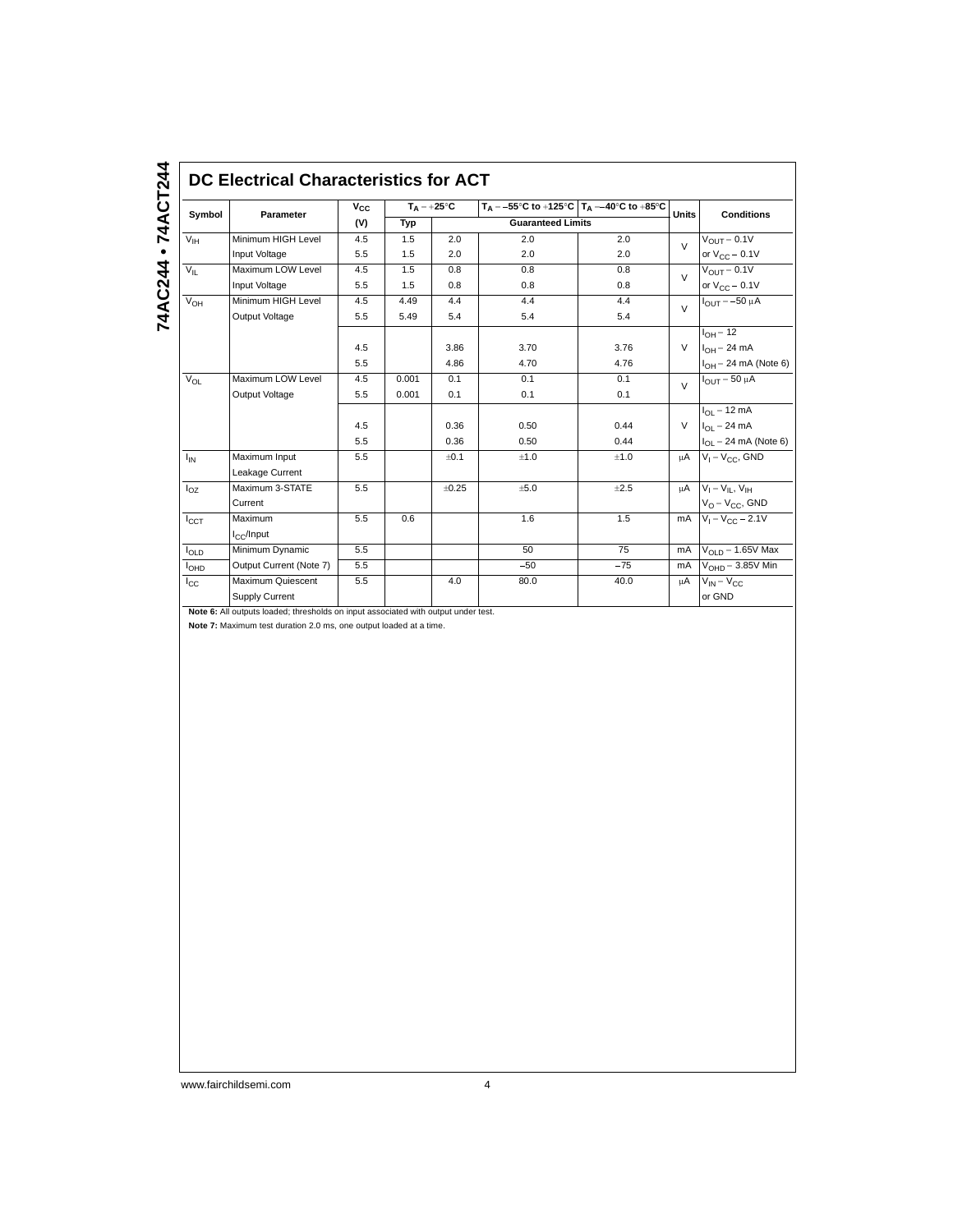| Symbol          | <b>Parameter</b>                    | $V_{CC}$ | $T_A = +25^{\circ}C$ |       | $T_A = -55^{\circ}C$ to $+125^{\circ}C$   $T_A = -40^{\circ}C$ to $+85^{\circ}C$ |       | <b>Units</b> | <b>Conditions</b>                        |
|-----------------|-------------------------------------|----------|----------------------|-------|----------------------------------------------------------------------------------|-------|--------------|------------------------------------------|
|                 |                                     | (V)      | Typ                  |       | <b>Guaranteed Limits</b>                                                         |       |              |                                          |
| V <sub>IH</sub> | Minimum HIGH Level                  | 4.5      | 1.5                  | 2.0   | 2.0                                                                              | 2.0   | $\vee$       | $V_{\text{OUT}} = 0.1V$                  |
|                 | Input Voltage                       | 5.5      | 1.5                  | 2.0   | 2.0                                                                              | 2.0   |              | or $V_{CC}$ – 0.1V                       |
| $V_{IL}$        | Maximum LOW Level                   | 4.5      | 1.5                  | 0.8   | 0.8                                                                              | 0.8   | $\vee$       | $V_{OUT} = 0.1V$                         |
|                 | Input Voltage                       | 5.5      | 1.5                  | 0.8   | 0.8                                                                              | 0.8   |              | or $V_{CC}$ – 0.1V                       |
| $V_{OH}$        | Minimum HIGH Level                  | 4.5      | 4.49                 | 4.4   | 4.4                                                                              | 4.4   | $\vee$       | $I_{OUT} = -50 \mu A$                    |
|                 | Output Voltage                      | 5.5      | 5.49                 | 5.4   | 5.4                                                                              | 5.4   |              |                                          |
|                 |                                     |          |                      |       |                                                                                  |       |              | $I_{OH}$ = 12                            |
|                 |                                     | 4.5      |                      | 3.86  | 3.70                                                                             | 3.76  | $\vee$       | $I_{OH} = 24$ mA                         |
|                 |                                     | 5.5      |                      | 4.86  | 4.70                                                                             | 4.76  |              | $I_{OH} = 24$ mA (Note 6)                |
| $V_{OL}$        | Maximum LOW Level                   | 4.5      | 0.001                | 0.1   | 0.1                                                                              | 0.1   | $\vee$       | $I_{OUT}$ = 50 $\mu$ A                   |
|                 | Output Voltage                      | 5.5      | 0.001                | 0.1   | 0.1                                                                              | 0.1   |              |                                          |
|                 |                                     |          |                      |       |                                                                                  |       |              | $I_{OL} = 12 \text{ mA}$                 |
|                 |                                     | 4.5      |                      | 0.36  | 0.50                                                                             | 0.44  | $\vee$       | $I_{OL}$ = 24 mA                         |
|                 |                                     | 5.5      |                      | 0.36  | 0.50                                                                             | 0.44  |              | $I_{\text{OI}} = 24 \text{ mA}$ (Note 6) |
| $I_{IN}$        | Maximum Input                       | 5.5      |                      | ±0.1  | ±1.0                                                                             | ±1.0  | μA           | $V_1 = V_{CC}$ , GND                     |
|                 | Leakage Current                     |          |                      |       |                                                                                  |       |              |                                          |
| $I_{OZ}$        | Maximum 3-STATE                     | 5.5      |                      | ±0.25 | ±5.0                                                                             | ±2.5  | <b>uA</b>    | $V_1 = V_{II}$ , $V_{IH}$                |
|                 | Current                             |          |                      |       |                                                                                  |       |              | $V_O = V_{CC}$ , GND                     |
| $I_{CCT}$       | Maximum                             | 5.5      | 0.6                  |       | 1.6                                                                              | 1.5   | mA           | $V_1 = V_{CC} - 2.1V$                    |
|                 | $I_{C}$ /Input                      |          |                      |       |                                                                                  |       |              |                                          |
| $I_{OLD}$       | Minimum Dynamic                     | 5.5      |                      |       | 50                                                                               | 75    | mA           | $V_{OLD} = 1.65V$ Max                    |
| <b>I</b> OHD    | Output Current (Note 7)             | 5.5      |                      |       | $-50$                                                                            | $-75$ | mA           | $V_{\text{OH}D} = 3.85V$ Min             |
| $I_{\rm CC}$    | Maximum Quiescent<br>Supply Current | 5.5      |                      | 4.0   | 80.0                                                                             | 40.0  | μA           | $V_{IN} = V_{CC}$<br>or GND              |

**Note 7:** Maximum test duration 2.0 ms, one output loaded at a time.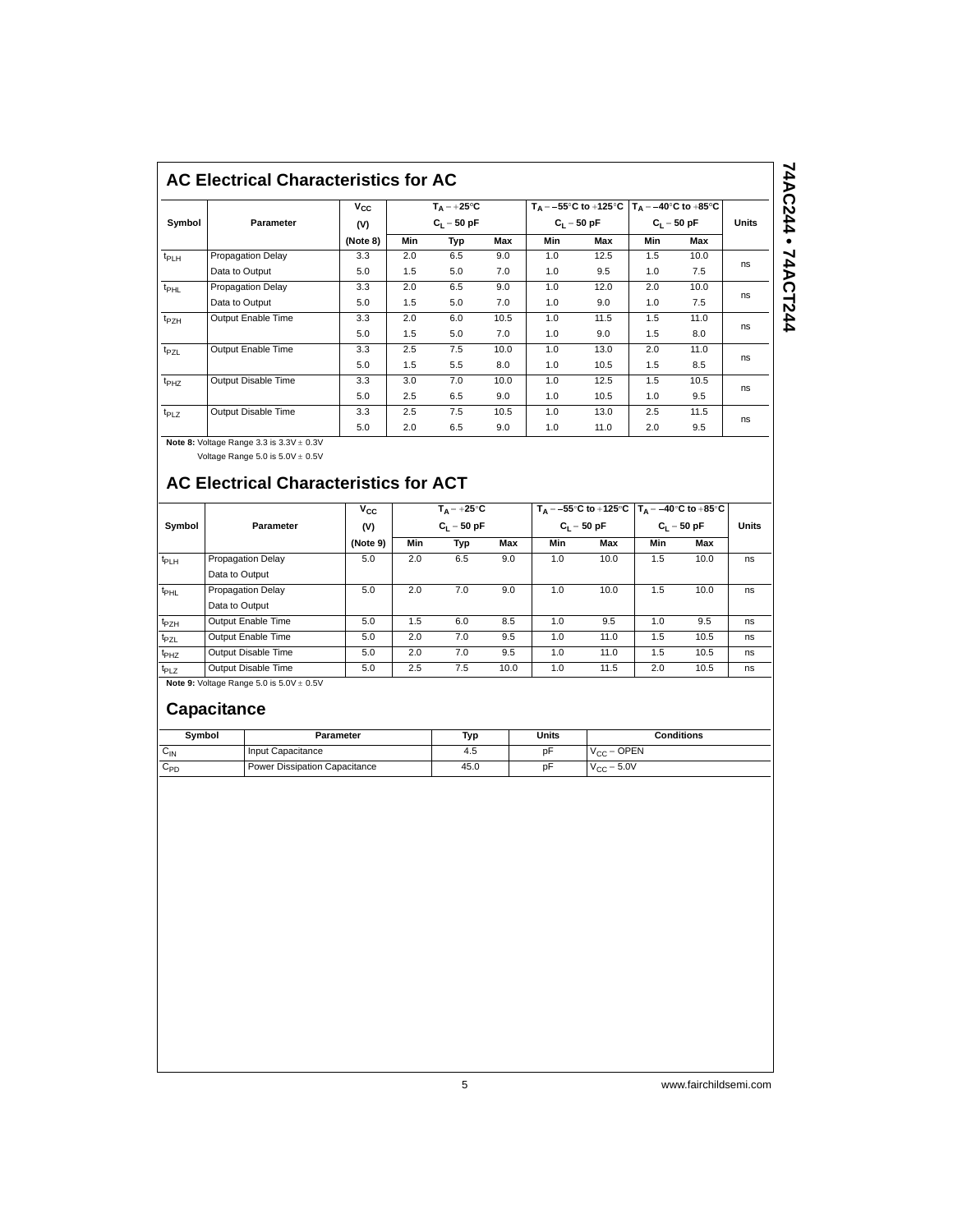### **AC Electrical Characteristics for AC**

|                  |                          | $v_{\rm cc}$ |               | $T_A = +25^{\circ}C$ |      |               | $T_A = -55^{\circ}$ C to +125 °C   $T_A = -40^{\circ}$ C to +85 °C |               |      |              |
|------------------|--------------------------|--------------|---------------|----------------------|------|---------------|--------------------------------------------------------------------|---------------|------|--------------|
| Symbol           | <b>Parameter</b>         | (V)          | $C_1 = 50 pF$ |                      |      | $C_1 = 50 pF$ |                                                                    | $C_1 = 50 pF$ |      | <b>Units</b> |
|                  |                          | (Note 8)     | Min           | Typ                  | Max  | Min           | Max                                                                | Min           | Max  |              |
| t <sub>PLH</sub> | <b>Propagation Delay</b> | 3.3          | 2.0           | 6.5                  | 9.0  | 1.0           | 12.5                                                               | 1.5           | 10.0 | ns           |
|                  | Data to Output           | 5.0          | 1.5           | 5.0                  | 7.0  | 1.0           | 9.5                                                                | 1.0           | 7.5  |              |
| t <sub>PHL</sub> | <b>Propagation Delay</b> | 3.3          | 2.0           | 6.5                  | 9.0  | 1.0           | 12.0                                                               | 2.0           | 10.0 | ns           |
|                  | Data to Output           | 5.0          | 1.5           | 5.0                  | 7.0  | 1.0           | 9.0                                                                | 1.0           | 7.5  |              |
| $t_{PZH}$        | Output Enable Time       | 3.3          | 2.0           | 6.0                  | 10.5 | 1.0           | 11.5                                                               | 1.5           | 11.0 |              |
|                  |                          | 5.0          | 1.5           | 5.0                  | 7.0  | 1.0           | 9.0                                                                | 1.5           | 8.0  | ns           |
| t <sub>PZL</sub> | Output Enable Time       | 3.3          | 2.5           | 7.5                  | 10.0 | 1.0           | 13.0                                                               | 2.0           | 11.0 |              |
|                  |                          | 5.0          | 1.5           | 5.5                  | 8.0  | 1.0           | 10.5                                                               | 1.5           | 8.5  | ns           |
| t <sub>PHZ</sub> | Output Disable Time      | 3.3          | 3.0           | 7.0                  | 10.0 | 1.0           | 12.5                                                               | 1.5           | 10.5 | ns           |
|                  |                          | 5.0          | 2.5           | 6.5                  | 9.0  | 1.0           | 10.5                                                               | 1.0           | 9.5  |              |
| $t_{PLZ}$        | Output Disable Time      | 3.3          | 2.5           | 7.5                  | 10.5 | 1.0           | 13.0                                                               | 2.5           | 11.5 | ns           |
|                  |                          | 5.0          | 2.0           | 6.5                  | 9.0  | 1.0           | 11.0                                                               | 2.0           | 9.5  |              |

74AC244 • 74ACT244 **74AC244 • 74ACT244**

**Note 8: Voltage Range 3.3 is 3.3V**  $\pm$  **0.3V** Voltage Range  $5.0$  is  $5.0V \pm 0.5V$ 

# **AC Electrical Characteristics for ACT**

|                  |                          | $v_{\rm cc}$ |     | $T_A = +25^{\circ}C$ |      |               | $T_A = -55^{\circ}$ C to +125 °C $T_A = -40^{\circ}$ C to +85 °C |               |      |              |
|------------------|--------------------------|--------------|-----|----------------------|------|---------------|------------------------------------------------------------------|---------------|------|--------------|
| Symbol           | Parameter                | (V)          |     | $C_1 = 50 pF$        |      | $C_1 = 50 pF$ |                                                                  | $C_1 = 50 pF$ |      | <b>Units</b> |
|                  |                          | (Note 9)     | Min | Typ                  | Max  | Min           | Max                                                              | Min           | Max  |              |
| t <sub>PLH</sub> | <b>Propagation Delay</b> | 5.0          | 2.0 | 6.5                  | 9.0  | 1.0           | 10.0                                                             | 1.5           | 10.0 | ns           |
|                  | Data to Output           |              |     |                      |      |               |                                                                  |               |      |              |
| $t_{\text{PHL}}$ | <b>Propagation Delay</b> | 5.0          | 2.0 | 7.0                  | 9.0  | 1.0           | 10.0                                                             | 1.5           | 10.0 | ns           |
|                  | Data to Output           |              |     |                      |      |               |                                                                  |               |      |              |
| t <sub>PZH</sub> | Output Enable Time       | 5.0          | 1.5 | 6.0                  | 8.5  | 1.0           | 9.5                                                              | 1.0           | 9.5  | ns           |
| t <sub>PZL</sub> | Output Enable Time       | 5.0          | 2.0 | 7.0                  | 9.5  | 1.0           | 11.0                                                             | 1.5           | 10.5 | ns           |
| $t_{PHZ}$        | Output Disable Time      | 5.0          | 2.0 | 7.0                  | 9.5  | 1.0           | 11.0                                                             | 1.5           | 10.5 | ns           |
| t <sub>PLZ</sub> | Output Disable Time      | 5.0          | 2.5 | 7.5                  | 10.0 | 1.0           | 11.5                                                             | 2.0           | 10.5 | ns           |

**Note 9:** Voltage Range  $5.0$  is  $5.0V \pm 0.5V$ 

## **Capacitance**

| Symbol   | Parameter                     | Typ  | Units | Conditions      |
|----------|-------------------------------|------|-------|-----------------|
| $C_{IN}$ | Input Capacitance             | 4.5  | рF    | $V_{CC} =$ OPEN |
| VPD      | Power Dissipation Capacitance | 45.0 | рF    | $V_{CC}$ = 5.0V |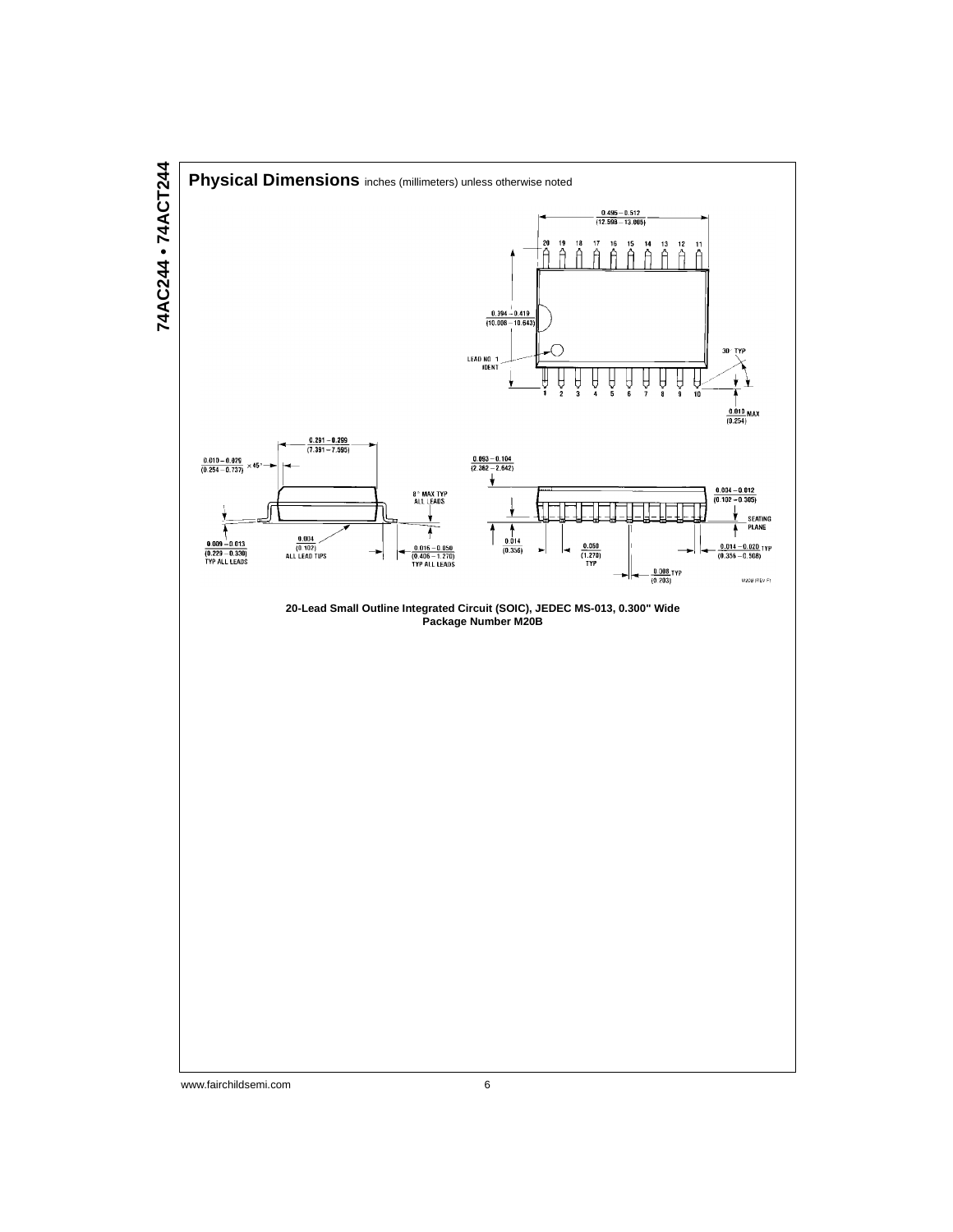

# 74AC244 • 74ACT244 **74AC244 • 74ACT244**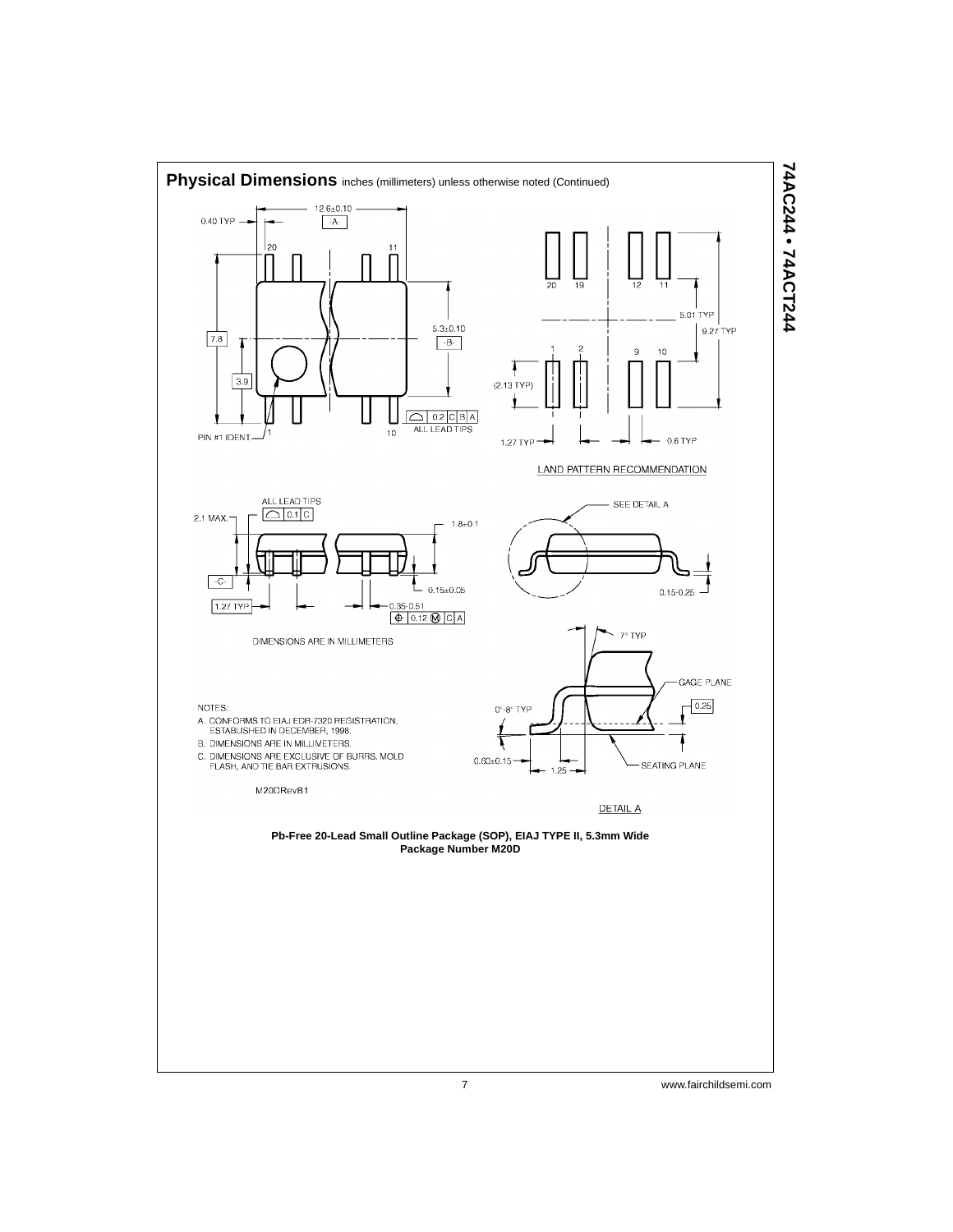

74AC244 • 74ACT244 **74AC244 • 74ACT244**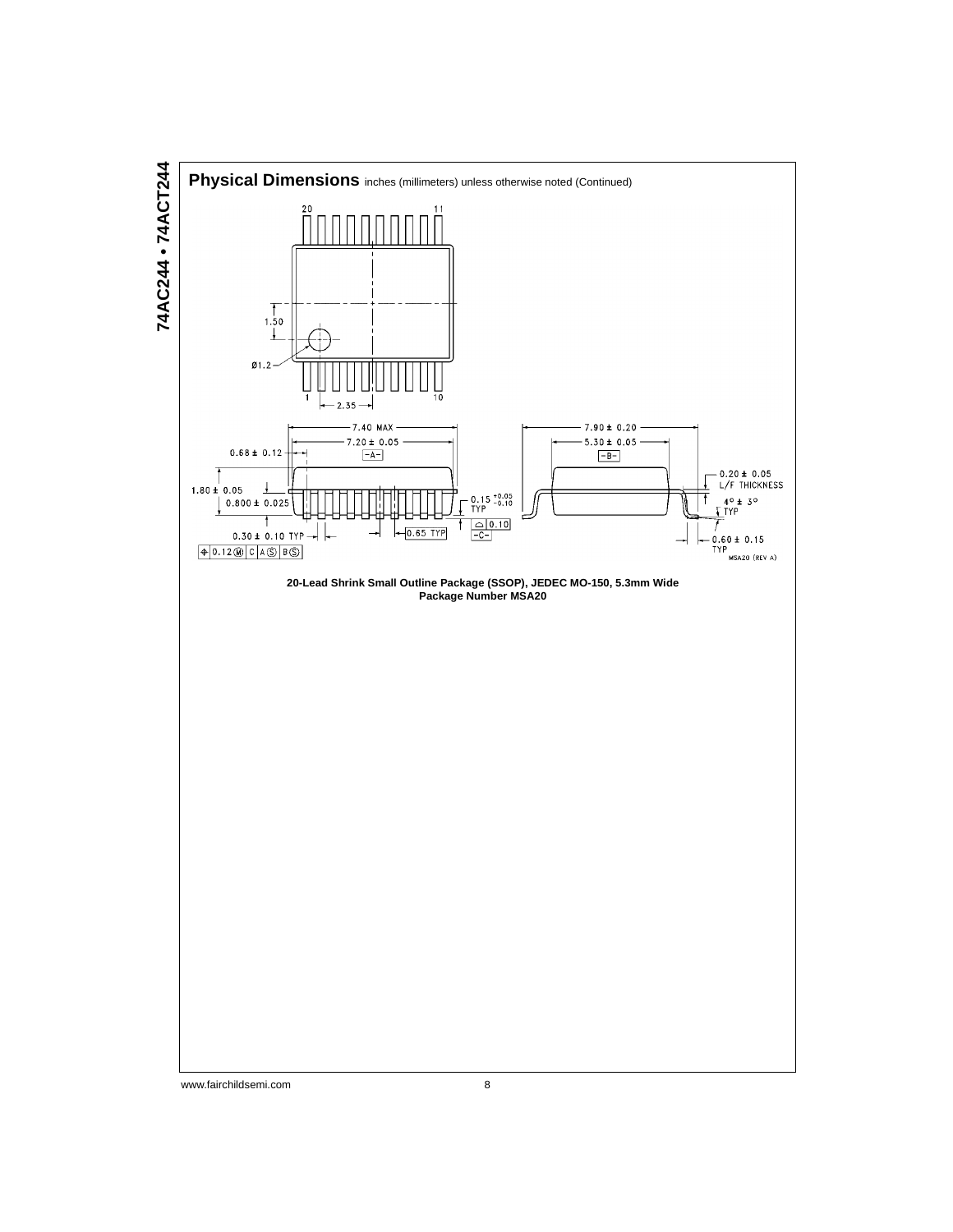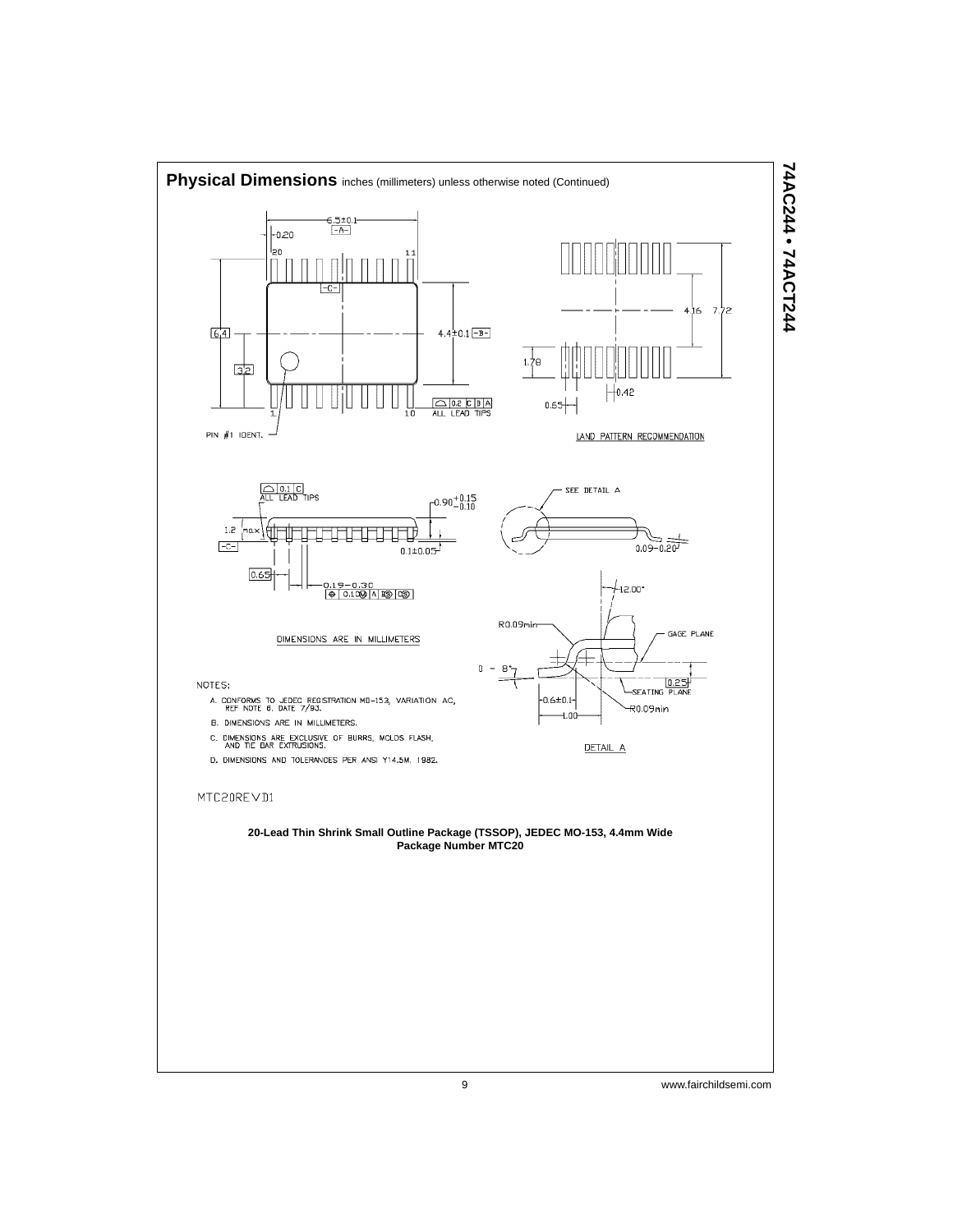

# 74AC244 • 74ACT244 **74AC244 • 74ACT244**